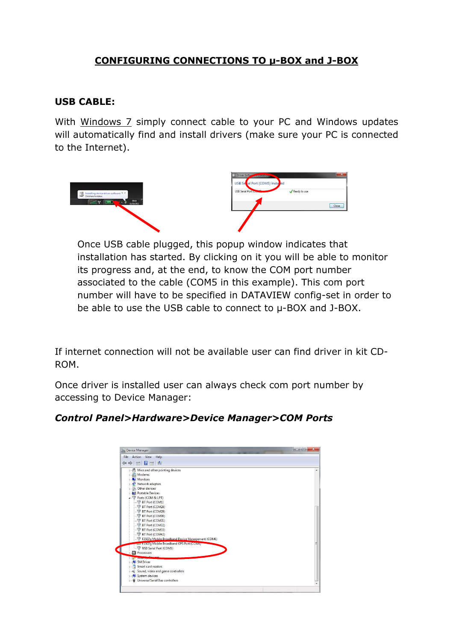## CONFIGURING CONNECTIONS TO µ-BOX and J-BOX

## USB CABLE:

With Windows 7 simply connect cable to your PC and Windows updates will automatically find and install drivers (make sure your PC is connected to the Internet).



Once USB cable plugged, this popup window indicates that installation has started. By clicking on it you will be able to monitor its progress and, at the end, to know the COM port number associated to the cable (COM5 in this example). This com port number will have to be specified in DATAVIEW config-set in order to be able to use the USB cable to connect to µ-BOX and J-BOX.

If internet connection will not be available user can find driver in kit CD-ROM.

Once driver is installed user can always check com port number by accessing to Device Manager:

| File Action View Help                                          |  |
|----------------------------------------------------------------|--|
| $\Leftrightarrow$ $\blacksquare$ $\blacksquare$ $\blacksquare$ |  |
| > -) <sup>9</sup> Mice and other pointing devices              |  |
| Modems                                                         |  |
| Monitors                                                       |  |
| Network adapters                                               |  |
| <b>D</b> - (2) Other devices                                   |  |
| <b>D</b> Portable Devices                                      |  |
| <b>A FIFT Ports (COM &amp; LPT)</b>                            |  |
| BT Port (COM1)                                                 |  |
| BT Port (COM28)                                                |  |
| BT Port (COM29)                                                |  |
| BT Port (COM30)                                                |  |
| BT Port (COM31)                                                |  |
| BT Port (COM32)                                                |  |
| BT Port (COM33)                                                |  |
| BT Port (COM42)                                                |  |
| F3507g Mobile Broadband Device Management (COM6)               |  |
| <b>TEST F5507 q Mobile Broadband GPS Port (COM4)</b>           |  |
| USB Serial Port (COM5)                                         |  |
| Processors                                                     |  |
|                                                                |  |
| SM Driver                                                      |  |
| Smart card readers                                             |  |
| Sound, video and game controllers                              |  |
| System devices                                                 |  |
| Universal Serial Bus controllers                               |  |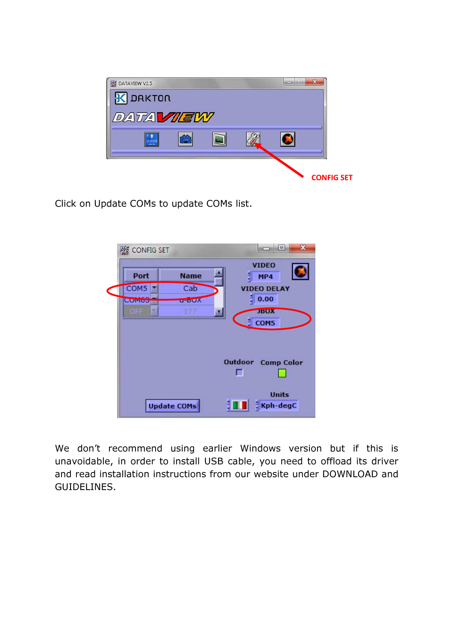

Click on Update COMs to update COMs list.



We don't recommend using earlier Windows version but if this is unavoidable, in order to install USB cable, you need to offload its driver and read installation instructions from our website under DOWNLOAD and GUIDELINES.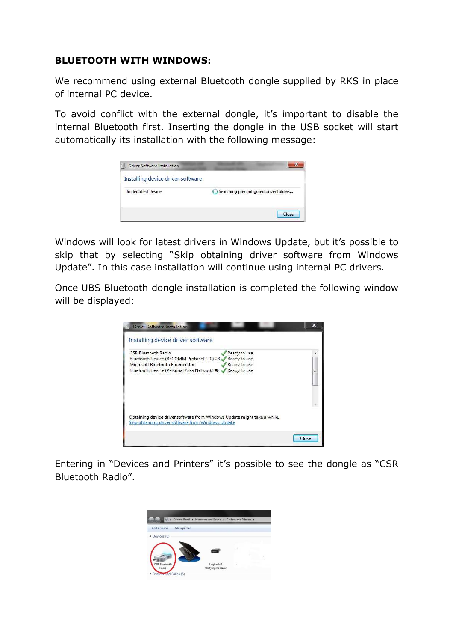## BLUETOOTH WITH WINDOWS:

We recommend using external Bluetooth dongle supplied by RKS in place of internal PC device.

To avoid conflict with the external dongle, it's important to disable the internal Bluetooth first. Inserting the dongle in the USB socket will start automatically its installation with the following message:

| Installing device driver software |                                        |
|-----------------------------------|----------------------------------------|
| <b>Unidentified Device</b>        | Searching preconfigured driver folders |

Windows will look for latest drivers in Windows Update, but it's possible to skip that by selecting "Skip obtaining driver software from Windows Update". In this case installation will continue using internal PC drivers.

Once UBS Bluetooth dongle installation is completed the following window will be displayed:

| CSR Bluetooth Radio                                | Ready to use                                                             |  |
|----------------------------------------------------|--------------------------------------------------------------------------|--|
| Bluetooth Device (RFCOMM Protocol TDI) #8          | Ready to use                                                             |  |
| Microsoft Bluetooth Enumerator                     | Ready to use                                                             |  |
| Bluetooth Device (Personal Area Network) #8        | Ready to use                                                             |  |
|                                                    |                                                                          |  |
|                                                    |                                                                          |  |
|                                                    |                                                                          |  |
|                                                    |                                                                          |  |
|                                                    |                                                                          |  |
|                                                    |                                                                          |  |
|                                                    | Obtaining device driver software from Windows Update might take a while. |  |
| Skip obtaining driver software from Windows Update |                                                                          |  |

Entering in "Devices and Printers" it's possible to see the dongle as "CSR Bluetooth Radio".

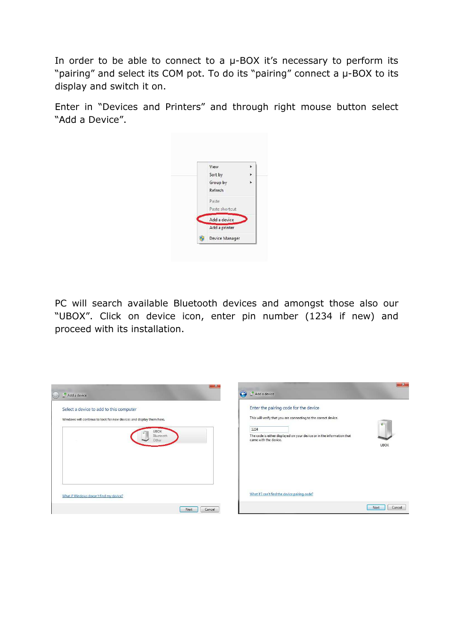In order to be able to connect to a  $\mu$ -BOX it's necessary to perform its "pairing" and select its COM pot. To do its "pairing" connect a µ-BOX to its display and switch it on.

Enter in "Devices and Printers" and through right mouse button select "Add a Device".



PC will search available Bluetooth devices and amongst those also our "UBOX". Click on device icon, enter pin number (1234 if new) and proceed with its installation.

| $\mathbf{w}$ $\mathbf{x}$                                                                                                                            | $-x$                                                                                                                                                                                                                                          |
|------------------------------------------------------------------------------------------------------------------------------------------------------|-----------------------------------------------------------------------------------------------------------------------------------------------------------------------------------------------------------------------------------------------|
| Add a device                                                                                                                                         | Add a device                                                                                                                                                                                                                                  |
| Select a device to add to this computer<br>Windows will continue to look for new devices and display them here.<br><b>UBOX</b><br>Bluetooth<br>Other | Enter the pairing code for the device<br>This will verify that you are connecting to the correct device.<br>$\circ$<br>1234<br>The code is either displayed on your device or in the information that<br>came with the device.<br><b>UBOX</b> |
| What if Windows doesn't find my device?                                                                                                              | What if I can't find the device pairing code?                                                                                                                                                                                                 |
| Next                                                                                                                                                 | Next                                                                                                                                                                                                                                          |
| Cancel                                                                                                                                               | Cancel                                                                                                                                                                                                                                        |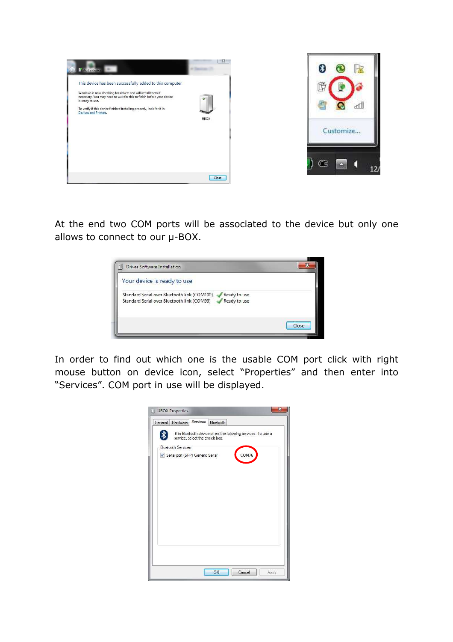

At the end two COM ports will be associated to the device but only one allows to connect to our  $\mu$ -BOX.



In order to find out which one is the usable COM port click with right mouse button on device icon, select "Properties" and then enter into "Services". COM port in use will be displayed.